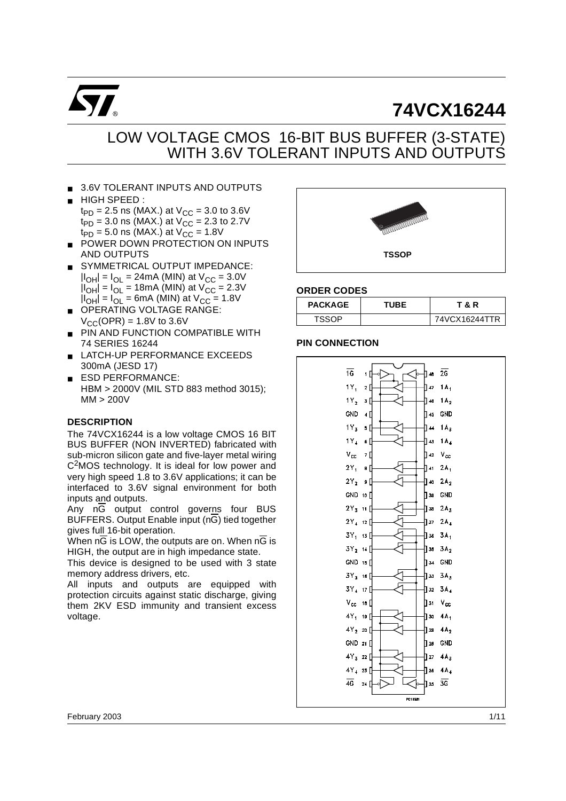

# **74VCX16244**

# LOW VOLTAGE CMOS 16-BIT BUS BUFFER (3-STATE) WITH 3.6V TOLERANT INPUTS AND OUTPUTS

- 3.6V TOLERANT INPUTS AND OUTPUTS
- HIGH SPEED :  $t_{PD}$  = 2.5 ns (MAX.) at  $V_{CC}$  = 3.0 to 3.6V  $t_{\text{PD}}$  = 3.0 ns (MAX.) at  $V_{\text{CC}}$  = 2.3 to 2.7V  $t_{PD} = 5.0$  ns (MAX.) at  $V_{CC} = 1.8V$
- POWER DOWN PROTECTION ON INPUTS AND OUTPUTS
- SYMMETRICAL OUTPUT IMPEDANCE:  $|I_{OH}| = I_{OL} = 24$ mA (MIN) at  $V_{CC} = 3.0V$  $|I_{OH}| = I_{OL} = 18$ mA (MIN) at  $V_{CC} = 2.3V$  $|I_{OH}| = I_{OL} = 6$ mA (MIN) at  $V_{CC} = 1.8V$
- OPERATING VOLTAGE RANGE:  $V_{CC}$ (OPR) = 1.8V to 3.6V
- PIN AND FUNCTION COMPATIBLE WITH 74 SERIES 16244
- LATCH-UP PERFORMANCE EXCEEDS 300mA (JESD 17)
- **ESD PERFORMANCE:** HBM > 2000V (MIL STD 883 method 3015); MM > 200V

#### **DESCRIPTION**

The 74VCX16244 is a low voltage CMOS 16 BIT BUS BUFFER (NON INVERTED) fabricated with sub-micron silicon gate and five-layer metal wiring C<sup>2</sup>MOS technology. It is ideal for low power and very high speed 1.8 to 3.6V applications; it can be interfaced to 3.6V signal environment for both inputs and outputs.

Any nG output control governs four BUS BUFFERS. Output Enable input (nG) tied together gives full 16-bit operation.

When  $n\overline{G}$  is LOW, the outputs are on. When  $n\overline{G}$  is HIGH, the output are in high impedance state.

This device is designed to be used with 3 state memory address drivers, etc.

All inputs and outputs are equipped with protection circuits against static discharge, giving them 2KV ESD immunity and transient excess voltage.



### **ORDER CODES**

| <b>PACKAGE</b> | TUBE | T & R         |  |
|----------------|------|---------------|--|
| <b>TSSOP</b>   |      | 74VCX16244TTR |  |

### **PIN CONNECTION**



February 2003 **1/11** 2003 **1/11**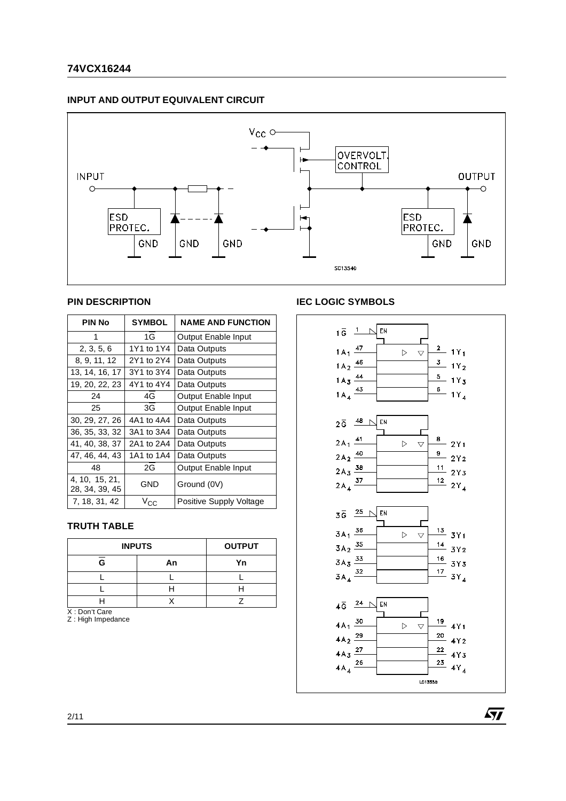### **INPUT AND OUTPUT EQUIVALENT CIRCUIT**



#### **PIN DESCRIPTION**

| PIN No                           | <b>SYMBOL</b> | <b>NAME AND FUNCTION</b>   |  |  |
|----------------------------------|---------------|----------------------------|--|--|
| 1                                | 1G            | Output Enable Input        |  |  |
| 2, 3, 5, 6                       | 1Y1 to 1Y4    | Data Outputs               |  |  |
| 8, 9, 11, 12                     | 2Y1 to 2Y4    | Data Outputs               |  |  |
| 13, 14, 16, 17                   | 3Y1 to 3Y4    | Data Outputs               |  |  |
| 19, 20, 22, 23                   | 4Y1 to 4Y4    | Data Outputs               |  |  |
| 24                               | 4G            | Output Enable Input        |  |  |
| 25                               | 3G            | <b>Output Enable Input</b> |  |  |
| 30, 29, 27, 26                   | 4A1 to 4A4    | Data Outputs               |  |  |
| 36, 35, 33, 32                   | 3A1 to 3A4    | Data Outputs               |  |  |
| 41, 40, 38, 37                   | 2A1 to 2A4    | Data Outputs               |  |  |
| 47, 46, 44, 43                   | 1A1 to 1A4    | Data Outputs               |  |  |
| 48                               | 2G            | Output Enable Input        |  |  |
| 4, 10, 15, 21,<br>28, 34, 39, 45 | GND           | Ground (0V)                |  |  |
| 7, 18, 31, 42                    | $V_{\rm CC}$  | Positive Supply Voltage    |  |  |

#### **TRUTH TABLE**

| <b>INPUTS</b> | <b>OUTPUT</b> |  |
|---------------|---------------|--|
| G             | An            |  |
|               |               |  |
|               |               |  |
|               |               |  |

X : Don't Care Z : High Impedance

### **IEC LOGIC SYMBOLS**

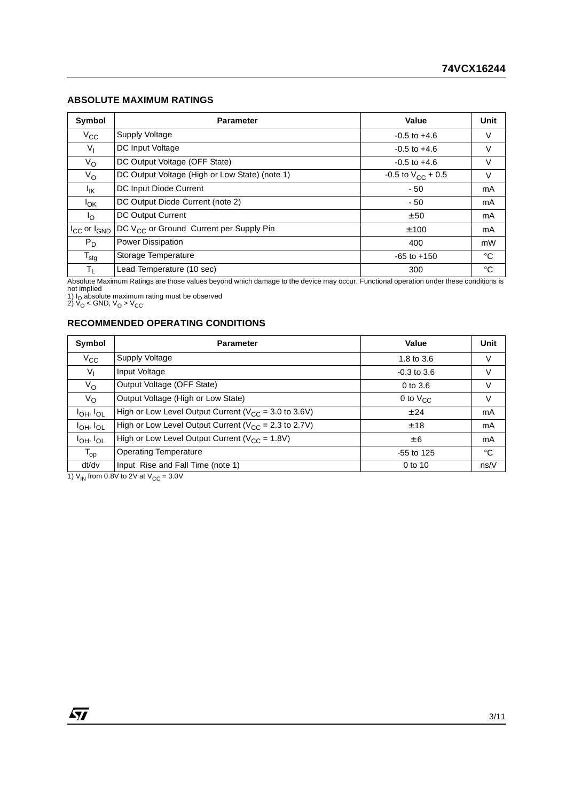### **ABSOLUTE MAXIMUM RATINGS**

| Symbol                              | <b>Parameter</b>                                    | Value                    | Unit |
|-------------------------------------|-----------------------------------------------------|--------------------------|------|
| $V_{\rm CC}$                        | Supply Voltage                                      | $-0.5$ to $+4.6$         | V    |
| $V_{I}$                             | <b>DC Input Voltage</b>                             | $-0.5$ to $+4.6$         | V    |
| V <sub>O</sub>                      | DC Output Voltage (OFF State)                       | $-0.5$ to $+4.6$         | V    |
| $V_{\rm O}$                         | DC Output Voltage (High or Low State) (note 1)      | $-0.5$ to $V_{CC}$ + 0.5 | V    |
| Ιıκ                                 | DC Input Diode Current                              | $-50$                    | mA   |
| Ιoκ                                 | DC Output Diode Current (note 2)                    | $-50$                    | mA   |
| $\mathsf{I}_{\Omega}$               | <b>DC Output Current</b>                            | ± 50                     | mA   |
| I <sub>CC</sub> or I <sub>GND</sub> | DC V <sub>CC</sub> or Ground Current per Supply Pin | ± 100                    | mA   |
| $P_D$                               | <b>Power Dissipation</b>                            | 400                      | mW   |
| $T_{\text{stg}}$                    | Storage Temperature                                 | $-65$ to $+150$          | °C   |
| $\mathsf{T}_{\mathsf{L}}$           | Lead Temperature (10 sec)                           | 300                      | °C   |

Absolute Maximum Ratings are those values beyond which damage to the device may occur. Functional operation under these conditions is<br>not implied<br>1) I<sub>O</sub> absolute maximum rating must be observed<br>2) V<sub>O</sub> < GND, V<sub>O</sub> > V<sub>CC</sub>

#### **RECOMMENDED OPERATING CONDITIONS**

| Symbol              | <b>Parameter</b>                                           | Value         | Unit |
|---------------------|------------------------------------------------------------|---------------|------|
| $V_{\rm CC}$        | Supply Voltage                                             | 1.8 to 3.6    | V    |
| $V_{I}$             | Input Voltage                                              | $-0.3$ to 3.6 | V    |
| $V_{\rm O}$         | Output Voltage (OFF State)                                 | 0 to 3.6      | V    |
| $V_{\rm O}$         | Output Voltage (High or Low State)                         | 0 to $V_{CC}$ | V    |
| $I_{OH}$ , $I_{OL}$ | High or Low Level Output Current ( $V_{CC}$ = 3.0 to 3.6V) | ± 24          | mA   |
| $I_{OH}$ , $I_{OL}$ | High or Low Level Output Current ( $V_{CC}$ = 2.3 to 2.7V) | ±18           | mA   |
| $I_{OH}$ , $I_{OL}$ | High or Low Level Output Current ( $V_{CC}$ = 1.8V)        | ± 6           | mA   |
| $T_{op}$            | <b>Operating Temperature</b>                               | -55 to 125    | °C   |
| dt/dv               | Input Rise and Fall Time (note 1)                          | 0 to 10       | ns/V |

1)  $V_{IN}$  from 0.8V to 2V at  $V_{CC} = 3.0V$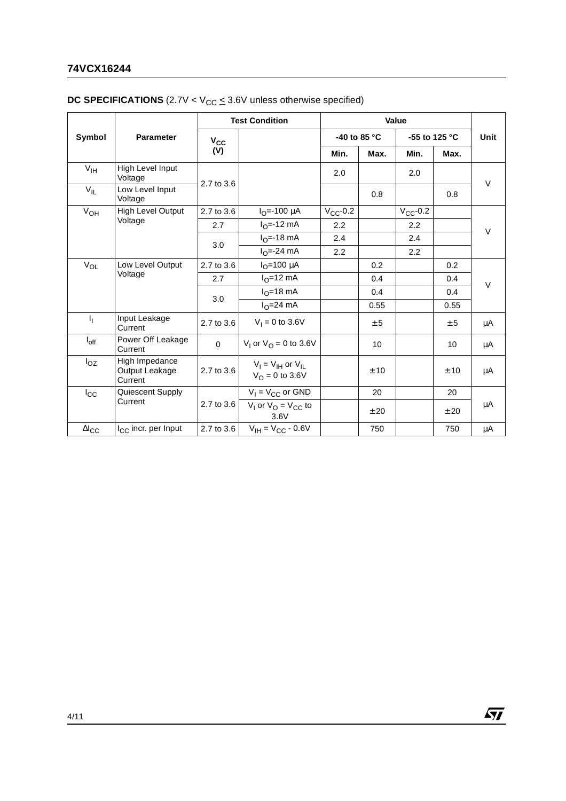### **74VCX16244**

|                        |                                             | <b>Test Condition</b> |                                                  | Value         |                |               |                         |        |
|------------------------|---------------------------------------------|-----------------------|--------------------------------------------------|---------------|----------------|---------------|-------------------------|--------|
| Symbol                 | <b>Parameter</b>                            | $V_{\rm CC}$          |                                                  |               | -40 to 85 $°C$ |               | -55 to 125 $^{\circ}$ C |        |
|                        |                                             | (V)                   |                                                  | Min.          | Max.           | Min.          | Max.                    |        |
| $V_{\text{IH}}$        | High Level Input<br>Voltage                 | 2.7 to 3.6            |                                                  | 2.0           |                | 2.0           |                         | $\vee$ |
| $V_{IL}$               | Low Level Input<br>Voltage                  |                       |                                                  |               | 0.8            |               | 0.8                     |        |
| $V_{OH}$               | High Level Output                           | 2.7 to 3.6            | $I_{\Omega} = -100 \mu A$                        | $V_{CC}$ -0.2 |                | $V_{CC}$ -0.2 |                         |        |
|                        | Voltage                                     | 2.7                   | $I_{\Omega} = -12$ mA                            | 2.2           |                | 2.2           |                         | V      |
|                        |                                             | 3.0                   | $I_{\Omega} = -18$ mA                            | 2.4           |                | 2.4           |                         |        |
|                        |                                             |                       | $I_{\Omega} = -24 \text{ mA}$                    | 2.2           |                | 2.2           |                         |        |
| $V_{OL}$               | Low Level Output                            | 2.7 to 3.6            | $I_{\Omega} = 100 \mu A$                         |               | 0.2            |               | 0.2                     |        |
|                        | Voltage                                     | 2.7                   | $IO=12$ mA                                       |               | 0.4            |               | 0.4                     | $\vee$ |
|                        |                                             | 3.0                   | $IO=18 mA$                                       |               | 0.4            |               | 0.4                     |        |
|                        |                                             |                       | $IO=24 mA$                                       |               | 0.55           |               | 0.55                    |        |
| 4                      | Input Leakage<br>Current                    | 2.7 to 3.6            | $V_1 = 0$ to 3.6V                                |               | ± 5            |               | ± 5                     | μA     |
| $I_{off}$              | Power Off Leakage<br>Current                | $\Omega$              | $V_1$ or $V_0 = 0$ to 3.6V                       |               | 10             |               | 10                      | μA     |
| $I_{OZ}$               | High Impedance<br>Output Leakage<br>Current | $2.7$ to $3.6$        | $V_I = V_{IH}$ or $V_{IL}$<br>$V_O = 0$ to 3.6V  |               | ± 10           |               | ± 10                    | μA     |
| $I_{\rm CC}$           | Quiescent Supply                            |                       | $V_1 = V_{CC}$ or GND                            |               | 20             |               | 20                      |        |
|                        | Current                                     | 2.7 to 3.6            | $V_1$ or $V_{\Omega} = V_{\text{CC}}$ to<br>3.6V |               | ± 20           |               | ± 20                    | μA     |
| $\Delta I_{\text{CC}}$ | I <sub>CC</sub> incr. per Input             | 2.7 to 3.6            | $V_{IH} = V_{CC} - 0.6V$                         |               | 750            |               | 750                     | μA     |

### **DC SPECIFICATIONS** (2.7V <  $V_{CC}$   $\leq$  3.6V unless otherwise specified)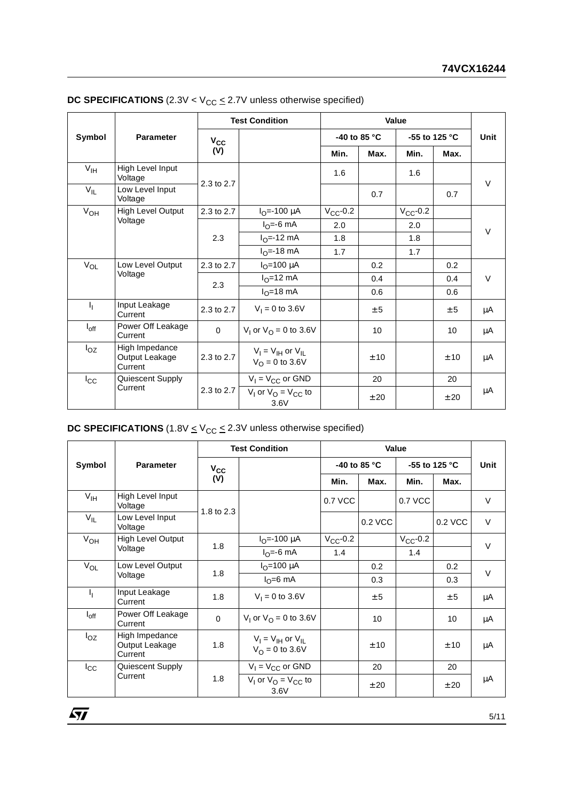|                 |                                             | <b>Test Condition</b> |                                                        |                        |                 |               |      |             |
|-----------------|---------------------------------------------|-----------------------|--------------------------------------------------------|------------------------|-----------------|---------------|------|-------------|
| Symbol          | <b>Parameter</b><br>$V_{\rm CC}$            |                       |                                                        | -40 to 85 $^{\circ}$ C |                 | -55 to 125 °C |      | <b>Unit</b> |
|                 |                                             | (V)                   |                                                        | Min.                   | Max.            | Min.          | Max. |             |
| $V_{\text{IH}}$ | High Level Input<br>Voltage                 | 2.3 to 2.7            |                                                        | 1.6                    |                 | 1.6           |      | $\vee$      |
| $V_{IL}$        | Low Level Input<br>Voltage                  |                       |                                                        |                        | 0.7             |               | 0.7  |             |
| $V_{OH}$        | <b>High Level Output</b>                    | 2.3 to 2.7            | $I_{\rm O}$ =-100 $\mu$ A                              | $V_{CC}$ -0.2          |                 | $V_{CC}$ -0.2 |      |             |
|                 | Voltage                                     |                       | $I_{\Omega} = -6$ mA                                   | 2.0                    |                 | 2.0           |      | $\vee$      |
|                 |                                             | 2.3                   | $IO=-12 mA$                                            | 1.8                    |                 | 1.8           |      |             |
|                 |                                             |                       | $I_{\Omega} = -18$ mA                                  | 1.7                    |                 | 1.7           |      |             |
| $V_{OL}$        | Low Level Output                            | 2.3 to 2.7            | $I_{\Omega} = 100 \mu A$                               |                        | 0.2             |               | 0.2  |             |
|                 | Voltage                                     | 2.3                   | $IO=12$ mA                                             |                        | 0.4             |               | 0.4  | $\vee$      |
|                 |                                             |                       | $IO=18 mA$                                             |                        | 0.6             |               | 0.6  |             |
| Ч.              | Input Leakage<br>Current                    | 2.3 to 2.7            | $V_1 = 0$ to 3.6V                                      |                        | ± 5             |               | ± 5  | $\mu$ A     |
| $I_{off}$       | Power Off Leakage<br>Current                | $\Omega$              | $V_1$ or $V_0 = 0$ to 3.6V                             |                        | 10 <sup>1</sup> |               | 10   | μA          |
| $I_{OZ}$        | High Impedance<br>Output Leakage<br>Current | 2.3 to 2.7            | $V_I = V_{IH}$ or $V_{IL}$<br>$V_{\Omega} = 0$ to 3.6V |                        | ± 10            |               | ± 10 | μA          |
| $I_{\rm CC}$    | Quiescent Supply                            |                       | $V_1 = V_{CC}$ or GND                                  |                        | 20              |               | 20   |             |
|                 | Current                                     | 2.3 to 2.7            | $V_1$ or $V_{\Omega}$ = $V_{\text{CC}}$ to<br>3.6V     |                        | ± 20            |               | ± 20 | μA          |

### **DC SPECIFICATIONS** (2.3V <  $V_{CC}$   $\leq$  2.7V unless otherwise specified)

## **DC SPECIFICATIONS** (1.8V  $\leq$  V<sub>CC</sub>  $\leq$  2.3V unless otherwise specified)

|                 |                                             | <b>Test Condition</b> |                                                        |                |         |               |                 |        |
|-----------------|---------------------------------------------|-----------------------|--------------------------------------------------------|----------------|---------|---------------|-----------------|--------|
| Symbol          | <b>Parameter</b>                            | $V_{\rm CC}$          |                                                        | -40 to 85 $°C$ |         | -55 to 125 °C |                 | Unit   |
|                 |                                             | (V)                   |                                                        | Min.           | Max.    | Min.          | Max.            |        |
| $V_{\text{IH}}$ | High Level Input<br>Voltage                 | 1.8 to 2.3            |                                                        | 0.7 VCC        |         | 0.7 VCC       |                 | V      |
| $V_{IL}$        | Low Level Input<br>Voltage                  |                       |                                                        |                | 0.2 VCC |               | 0.2 VCC         | $\vee$ |
| $V_{OH}$        | High Level Output                           | 1.8                   | $I_{\Omega}$ =-100 µA                                  | $V_{CC}$ -0.2  |         | $V_{CC}$ -0.2 |                 | $\vee$ |
|                 | Voltage                                     |                       | $IO=-6 mA$                                             | 1.4            |         | 1.4           |                 |        |
| $V_{OL}$        | Low Level Output                            | 1.8                   | $I_{\Omega} = 100 \mu A$                               |                | 0.2     |               | 0.2             | $\vee$ |
|                 | Voltage                                     |                       | $I_{\Omega} = 6$ mA                                    |                | 0.3     |               | 0.3             |        |
| Τ,              | Input Leakage<br>Current                    | 1.8                   | $V_1 = 0$ to 3.6V                                      |                | ± 5     |               | ± 5             | μA     |
| $I_{off}$       | Power Off Leakage<br>Current                | $\Omega$              | V <sub>1</sub> or $V_{\Omega} = 0$ to 3.6V             |                | 10      |               | 10 <sup>1</sup> | μA     |
| $I_{OZ}$        | High Impedance<br>Output Leakage<br>Current | 1.8                   | $V_I = V_{IH}$ or $V_{IL}$<br>$V_{\Omega} = 0$ to 3.6V |                | ± 10    |               | ± 10            | μA     |
| $I_{\rm CC}$    | Quiescent Supply                            |                       | $V_1 = V_{CC}$ or GND                                  |                | 20      |               | 20              |        |
|                 | Current                                     | 1.8                   | $V_1$ or $V_O = V_{CC}$ to<br>3.6V                     |                | ± 20    |               | ± 20            | μA     |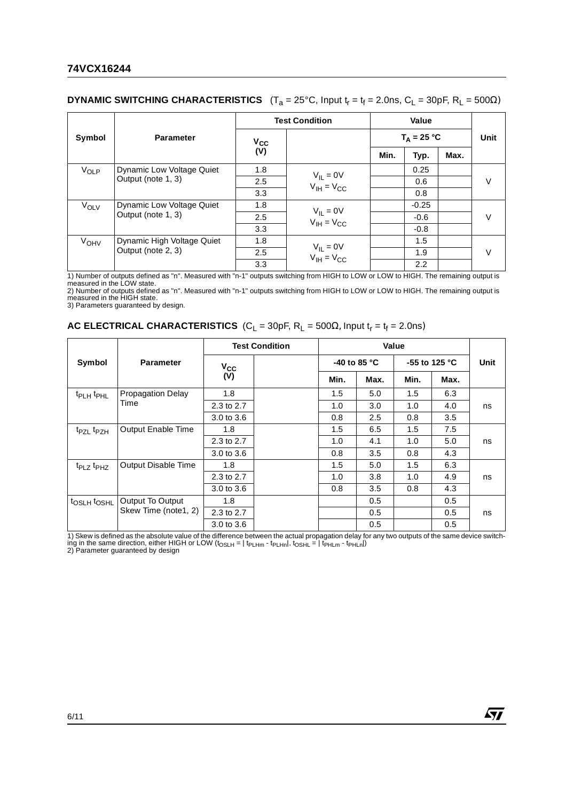### **74VCX16244**

### **DYNAMIC SWITCHING CHARACTERISTICS** (T<sub>a</sub> = 25°C, Input t<sub>r</sub> = t<sub>f</sub> = 2.0ns, C<sub>L</sub> = 30pF, R<sub>L</sub> = 500 $\Omega$ )

|                        |                                   |                                               | <b>Test Condition</b>              |      | Value         |      |   |
|------------------------|-----------------------------------|-----------------------------------------------|------------------------------------|------|---------------|------|---|
| Symbol                 | <b>Parameter</b>                  | $V_{\rm CC}$                                  |                                    |      | $T_A = 25 °C$ |      |   |
|                        |                                   | (V)                                           |                                    | Min. | Typ.          | Max. |   |
| $V_{OLP}$              | Dynamic Low Voltage Quiet         | 1.8                                           |                                    |      | 0.25          |      |   |
|                        | Output (note 1, 3)                | 2.5                                           | $V_{IL} = 0V$<br>$V_{IH} = V_{CC}$ |      | 0.6           |      | V |
|                        |                                   | 3.3                                           |                                    |      | 0.8           |      |   |
| V <sub>OLV</sub>       | Dynamic Low Voltage Quiet         | 1.8                                           |                                    |      | $-0.25$       |      |   |
|                        | Output (note 1, 3)                | 2.5                                           | $V_{IL} = 0V$<br>$V_{IH} = V_{CC}$ |      | $-0.6$        |      | V |
|                        |                                   | 3.3                                           |                                    |      | $-0.8$        |      |   |
| <b>V<sub>OHV</sub></b> | Dynamic High Voltage Quiet<br>1.8 |                                               |                                    | 1.5  |               |      |   |
|                        | Output (note 2, 3)                | $V_{IL} = 0V$<br>$V_{IH} = V_{CC}$<br>$2.5\,$ |                                    |      | 1.9           |      | V |
|                        |                                   | 3.3                                           |                                    |      | 2.2           |      |   |

1) Number of outputs defined as "n". Measured with "n-1" outputs switching from HIGH to LOW or LOW to HIGH. The remaining output is measured in the LOW state.

2) Number of outputs defined as "n". Measured with "n-1" outputs switching from HIGH to LOW or LOW to HIGH. The remaining output is measured in the HIGH state. 3) Parameters guaranteed by design.

### **AC ELECTRICAL CHARACTERISTICS** ( $C_L$  = 30pF,  $R_L$  = 500 $\Omega$ , Input  $t_r$  =  $t_f$  = 2.0ns)

|                                     |                          | <b>Test Condition</b> |  |      |                        |      |                         |    |
|-------------------------------------|--------------------------|-----------------------|--|------|------------------------|------|-------------------------|----|
| Symbol                              | <b>Parameter</b>         | $V_{\rm CC}$          |  |      | -40 to 85 $^{\circ}$ C |      | -55 to 125 $^{\circ}$ C |    |
|                                     |                          | (V)                   |  | Min. | Max.                   | Min. | Max.                    |    |
| t <sub>PLH</sub> t <sub>PHL</sub>   | <b>Propagation Delay</b> | 1.8                   |  | 1.5  | 5.0                    | 1.5  | 6.3                     |    |
|                                     | Time                     | 2.3 to 2.7            |  | 1.0  | 3.0                    | 1.0  | 4.0                     | ns |
|                                     |                          | 3.0 to 3.6            |  | 0.8  | 2.5                    | 0.8  | 3.5                     |    |
| t <sub>PZL</sub> t <sub>PZH</sub>   | Output Enable Time       | 1.8                   |  | 1.5  | 6.5                    | 1.5  | 7.5                     |    |
|                                     |                          | 2.3 to 2.7            |  | 1.0  | 4.1                    | 1.0  | 5.0                     | ns |
|                                     |                          | 3.0 to 3.6            |  | 0.8  | 3.5                    | 0.8  | 4.3                     |    |
| t <sub>PLZ</sub> t <sub>PHZ</sub>   | Output Disable Time      | 1.8                   |  | 1.5  | 5.0                    | 1.5  | 6.3                     |    |
|                                     |                          | 2.3 to 2.7            |  | 1.0  | 3.8                    | 1.0  | 4.9                     | ns |
|                                     |                          | 3.0 to 3.6            |  | 0.8  | 3.5                    | 0.8  | 4.3                     |    |
| t <sub>OSLH</sub> t <sub>OSHL</sub> | Output To Output         | 1.8                   |  |      | 0.5                    |      | 0.5                     |    |
|                                     | Skew Time (note1, 2)     | 2.3 to 2.7            |  |      | 0.5                    |      | 0.5                     | ns |
|                                     |                          | 3.0 to 3.6            |  |      | 0.5                    |      | 0.5                     |    |

1) Skew is defined as the absolute value of the difference between the actual propagation delay for any two outputs of the same device switch-<br>ing in the same direction, either HIGH or LOW (t<sub>OSLH</sub> = | tբ<sub>LHm</sub> - tբ<sub>LHn</sub>|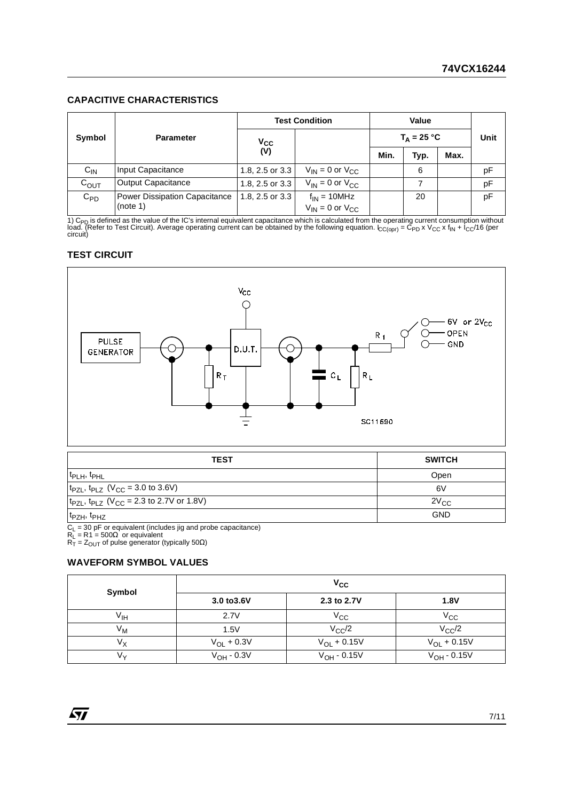### **CAPACITIVE CHARACTERISTICS**

|                            |                                           | <b>Test Condition</b>  | Value                                        |      |               |      |      |
|----------------------------|-------------------------------------------|------------------------|----------------------------------------------|------|---------------|------|------|
| Symbol<br><b>Parameter</b> |                                           |                        |                                              |      | $T_A = 25 °C$ |      | Unit |
|                            |                                           | V <sub>CC</sub><br>(V) |                                              | Min. | Typ.          | Max. |      |
| $C_{\mathsf{IN}}$          | Input Capacitance                         | 1.8, 2.5 or 3.3        | $V_{IN}$ = 0 or $V_{CC}$                     |      | 6             |      | рF   |
| $\mathtt{C_{OUT}}$         | <b>Output Capacitance</b>                 | 1.8, 2.5 or 3.3        | $V_{IN}$ = 0 or $V_{CC}$                     |      | 7             |      | pF   |
| $C_{PD}$                   | Power Dissipation Capacitance<br>(note 1) | 1.8, 2.5 or 3.3        | $f_{IN}$ = 10MHz<br>$V_{IN}$ = 0 or $V_{CC}$ |      | 20            |      | pF   |

1) C<sub>PD</sub> is defined as the value of the IC's internal equivalent capacitance which is calculated from the operating current consumption without<br>load. (Refer to Test Circuit). Average operating current can be obtained by th circuit)

#### **TEST CIRCUIT**



| <b>TEST</b>                                                           | <b>SWITCH</b> |
|-----------------------------------------------------------------------|---------------|
| t <sub>PLH</sub> , t <sub>PHL</sub>                                   | Open          |
| $ t_{PZL}, t_{PLZ} (V_{CC} = 3.0 \text{ to } 3.6V)$                   | 6V            |
| $ t_{PZL}, t_{PLZ} (V_{CC} = 2.3 \text{ to } 2.7V \text{ or } 1.8V) $ | $2V_{CC}$     |
| $ t_{PZH}, t_{PHZ} $                                                  | <b>GND</b>    |

C<sub>L</sub> = 30 pF or equivalent (includes jig and probe capacitance)<br>R<sub>L</sub> = R1 = 500Ω or equivalent<br>R<sub>T</sub> = Z<sub>OUT</sub> of pulse generator (typically 50Ω)

### **WAVEFORM SYMBOL VALUES**

| Symbol | $V_{CC}$        |                  |                  |  |
|--------|-----------------|------------------|------------------|--|
|        | 3.0 to 3.6V     | 2.3 to 2.7V      | <b>1.8V</b>      |  |
| ۷ıн    | 2.7V            | $V_{\rm CC}$     | ∨сс              |  |
| vм     | 1.5V            | $V_{\rm CC}$ /2  | $V_{CC}/2$       |  |
|        | $V_{OL}$ + 0.3V | $V_{OL} + 0.15V$ | $V_{OL}$ + 0.15V |  |
| V∿     | $V_{OH} - 0.3V$ | $V_{OH} - 0.15V$ | $V_{OH} - 0.15V$ |  |

57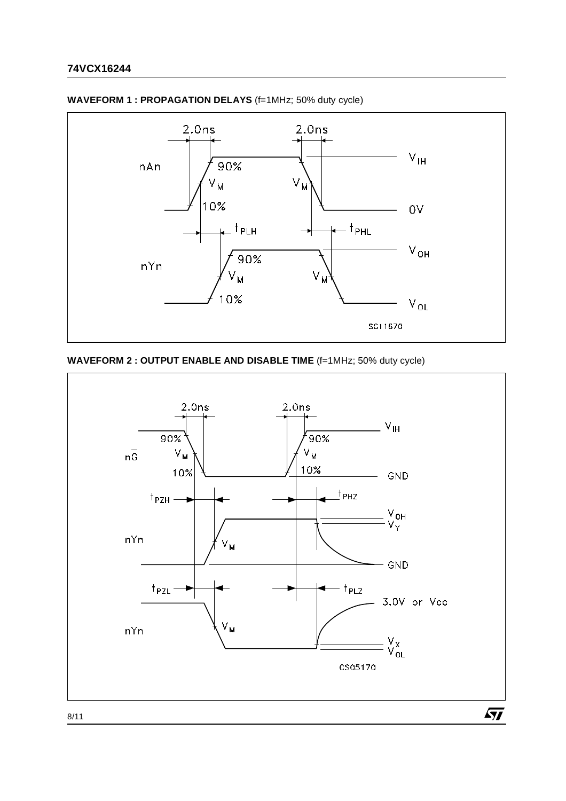

#### **WAVEFORM 1 : PROPAGATION DELAYS** (f=1MHz; 50% duty cycle)



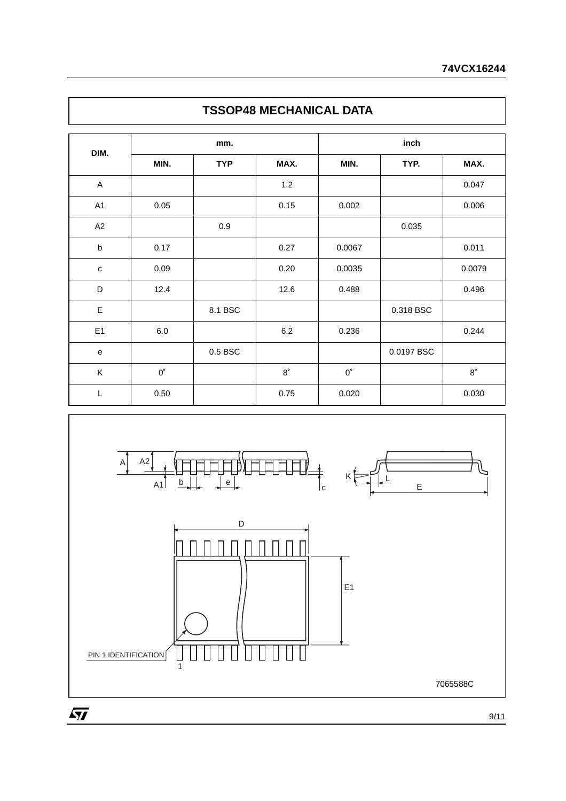| DIM.         |             | mm.        |             |             | inch       |             |  |
|--------------|-------------|------------|-------------|-------------|------------|-------------|--|
|              | MIN.        | <b>TYP</b> | MAX.        | MIN.        | TYP.       | MAX.        |  |
| $\mathsf{A}$ |             |            | 1.2         |             |            | 0.047       |  |
| A1           | 0.05        |            | 0.15        | 0.002       |            | 0.006       |  |
| A2           |             | 0.9        |             |             | 0.035      |             |  |
| $\sf b$      | 0.17        |            | 0.27        | 0.0067      |            | 0.011       |  |
| $\mathbf{C}$ | 0.09        |            | 0.20        | 0.0035      |            | 0.0079      |  |
| D            | 12.4        |            | 12.6        | 0.488       |            | 0.496       |  |
| $\mathsf E$  |             | 8.1 BSC    |             |             | 0.318 BSC  |             |  |
| E1           | 6.0         |            | $6.2\,$     | 0.236       |            | 0.244       |  |
| ${\bf e}$    |             | 0.5 BSC    |             |             | 0.0197 BSC |             |  |
| $\sf K$      | $0^{\circ}$ |            | $8^{\circ}$ | $0^{\circ}$ |            | $8^{\circ}$ |  |
| L            | 0.50        |            | 0.75        | 0.020       |            | 0.030       |  |





9/11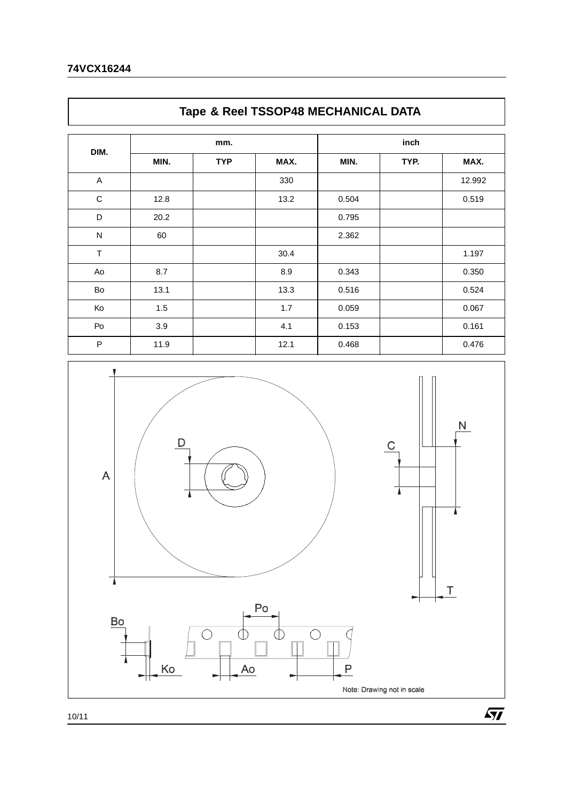$\Gamma$ 

| Tape & Reel TSSOP48 MECHANICAL DATA |      |            |      |       |      |        |
|-------------------------------------|------|------------|------|-------|------|--------|
| DIM.                                | mm.  |            | inch |       |      |        |
|                                     | MIN. | <b>TYP</b> | MAX. | MIN.  | TYP. | MAX.   |
| A                                   |      |            | 330  |       |      | 12.992 |
| C                                   | 12.8 |            | 13.2 | 0.504 |      | 0.519  |
| D                                   | 20.2 |            |      | 0.795 |      |        |
| $\mathsf{N}$                        | 60   |            |      | 2.362 |      |        |
| $\top$                              |      |            | 30.4 |       |      | 1.197  |
| Ao                                  | 8.7  |            | 8.9  | 0.343 |      | 0.350  |
| Bo                                  | 13.1 |            | 13.3 | 0.516 |      | 0.524  |
| Ko                                  | 1.5  |            | 1.7  | 0.059 |      | 0.067  |
| Po                                  | 3.9  |            | 4.1  | 0.153 |      | 0.161  |
| $\mathsf{P}$                        | 11.9 |            | 12.1 | 0.468 |      | 0.476  |

### $\mathsf{N}$  $\mathsf{D}%$  $\mathsf{C}$  $\overline{A}$ ⊺ Δ  $\mathbf 1$  $\top$ ń Po  $Bo$  $\overline{\bigcirc}$  $\overline{\mathbb{O}}$  $\bigcirc$  $\mathbb{C}$ C  $\Box$  $\mathbb{L}$  $A<sub>0</sub>$ Ko  $\mathsf{P}$

٦

Note: Drawing not in scale